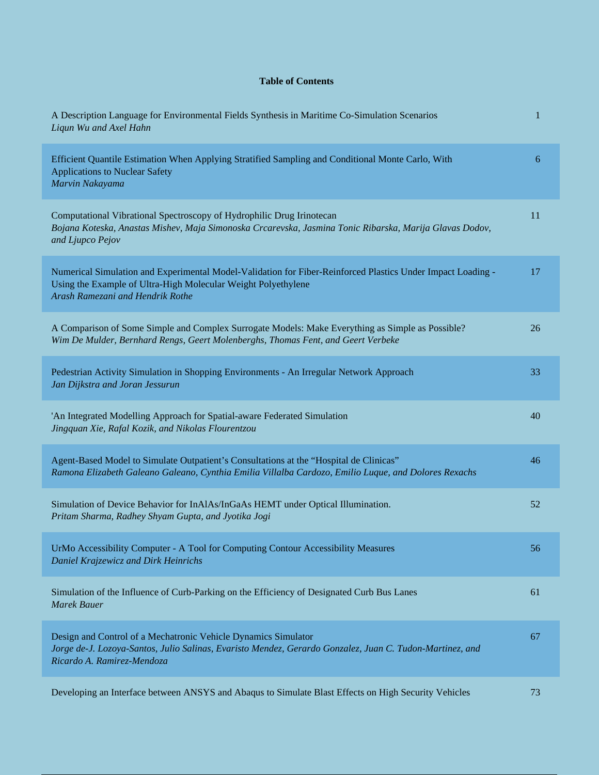## **Table of Contents**

| A Description Language for Environmental Fields Synthesis in Maritime Co-Simulation Scenarios<br>Liqun Wu and Axel Hahn                                                                                          | 1  |
|------------------------------------------------------------------------------------------------------------------------------------------------------------------------------------------------------------------|----|
| Efficient Quantile Estimation When Applying Stratified Sampling and Conditional Monte Carlo, With<br><b>Applications to Nuclear Safety</b><br>Marvin Nakayama                                                    | 6  |
| Computational Vibrational Spectroscopy of Hydrophilic Drug Irinotecan<br>Bojana Koteska, Anastas Mishev, Maja Simonoska Crcarevska, Jasmina Tonic Ribarska, Marija Glavas Dodov,<br>and Ljupco Pejov             | 11 |
| Numerical Simulation and Experimental Model-Validation for Fiber-Reinforced Plastics Under Impact Loading -<br>Using the Example of Ultra-High Molecular Weight Polyethylene<br>Arash Ramezani and Hendrik Rothe | 17 |
| A Comparison of Some Simple and Complex Surrogate Models: Make Everything as Simple as Possible?<br>Wim De Mulder, Bernhard Rengs, Geert Molenberghs, Thomas Fent, and Geert Verbeke                             | 26 |
| Pedestrian Activity Simulation in Shopping Environments - An Irregular Network Approach<br>Jan Dijkstra and Joran Jessurun                                                                                       | 33 |
| 'An Integrated Modelling Approach for Spatial-aware Federated Simulation<br>Jingquan Xie, Rafal Kozik, and Nikolas Flourentzou                                                                                   | 40 |
| Agent-Based Model to Simulate Outpatient's Consultations at the "Hospital de Clinicas"<br>Ramona Elizabeth Galeano Galeano, Cynthia Emilia Villalba Cardozo, Emilio Luque, and Dolores Rexachs                   | 46 |
| Simulation of Device Behavior for InAlAs/InGaAs HEMT under Optical Illumination.<br>Pritam Sharma, Radhey Shyam Gupta, and Jyotika Jogi                                                                          | 52 |
| UrMo Accessibility Computer - A Tool for Computing Contour Accessibility Measures<br>Daniel Krajzewicz and Dirk Heinrichs                                                                                        | 56 |
| Simulation of the Influence of Curb-Parking on the Efficiency of Designated Curb Bus Lanes<br><b>Marek Bauer</b>                                                                                                 | 61 |
| Design and Control of a Mechatronic Vehicle Dynamics Simulator<br>Jorge de-J. Lozoya-Santos, Julio Salinas, Evaristo Mendez, Gerardo Gonzalez, Juan C. Tudon-Martinez, and<br>Ricardo A. Ramirez-Mendoza         | 67 |
| Developing an Interface between ANSYS and Abaqus to Simulate Blast Effects on High Security Vehicles                                                                                                             | 73 |